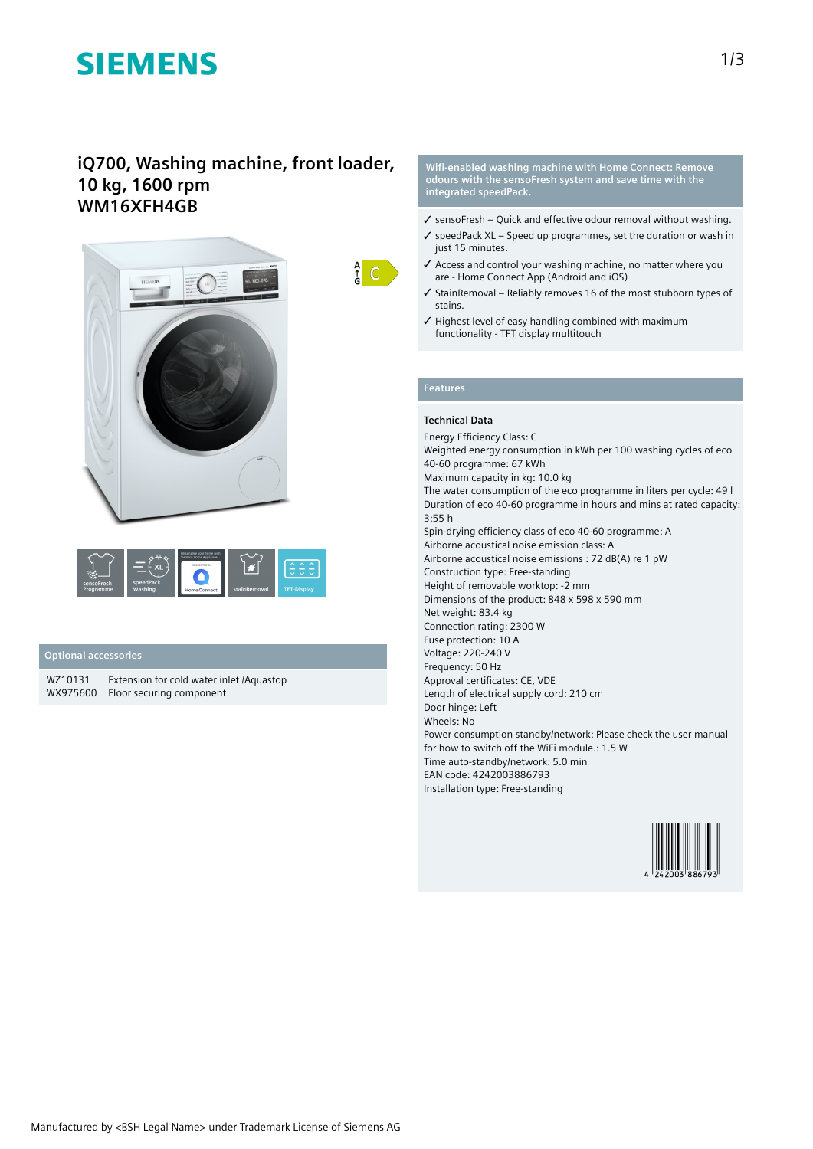# **SIEMENS**

# **iQ700, Washing machine, front loader, 10 kg, 1600 rpm WM16XFH4GB**





### **Optional accessories**

WZ10131 Extension for cold water inlet /Aquastop WX975600 Floor securing component

**Wifi-enabled washing machine with Home Connect: Remove odours with the sensoFresh system and save time with the integrated speedPack.**

- $\checkmark$  sensoFresh Quick and effective odour removal without washing.
- ✓ speedPack XL Speed up programmes, set the duration or wash in just 15 minutes.
- ✓ Access and control your washing machine, no matter where you are - Home Connect App (Android and iOS)
- ✓ StainRemoval Reliably removes 16 of the most stubborn types of stains.
- ✓ Highest level of easy handling combined with maximum functionality - TFT display multitouch

## **Features**

 $\frac{A}{G}$  C

### **Technical Data**

Energy Efficiency Class: C Weighted energy consumption in kWh per 100 washing cycles of eco 40-60 programme: 67 kWh Maximum capacity in kg: 10.0 kg The water consumption of the eco programme in liters per cycle: 49 l Duration of eco 40-60 programme in hours and mins at rated capacity: 3:55 h Spin-drying efficiency class of eco 40-60 programme: A Airborne acoustical noise emission class: A Airborne acoustical noise emissions : 72 dB(A) re 1 pW Construction type: Free-standing Height of removable worktop: -2 mm Dimensions of the product: 848 x 598 x 590 mm Net weight: 83.4 kg Connection rating: 2300 W Fuse protection: 10 A Voltage: 220-240 V Frequency: 50 Hz Approval certificates: CE, VDE Length of electrical supply cord: 210 cm Door hinge: Left Wheels: No Power consumption standby/network: Please check the user manual for how to switch off the WiFi module.: 1.5 W Time auto-standby/network: 5.0 min EAN code: 4242003886793 Installation type: Free-standing

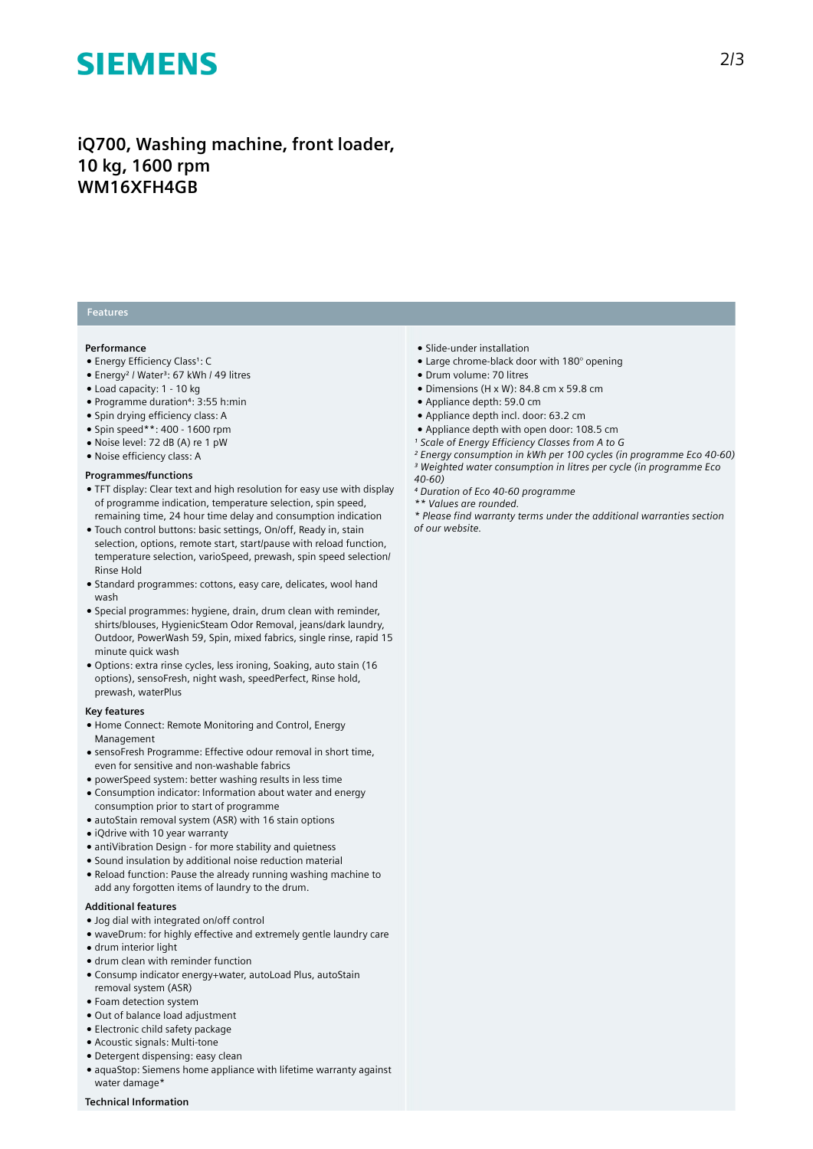# **SIEMENS**

# **iQ700, Washing machine, front loader, 10 kg, 1600 rpm WM16XFH4GB**

## **Features**

#### **Performance**

- Energy Efficiency Class<sup>1</sup>: C
- Energy<sup>2</sup> / Water<sup>3</sup>: 67 kWh / 49 litres
- Load capacity: 1 10 kg
- Programme duration⁴: 3:55 h:min
- Spin drying efficiency class: A
- Spin speed\*\*: 400 1600 rpm
- Noise level: 72 dB (A) re 1 pW
- Noise efficiency class: A

#### **Programmes/functions**

- TFT display: Clear text and high resolution for easy use with display of programme indication, temperature selection, spin speed, remaining time, 24 hour time delay and consumption indication
- Touch control buttons: basic settings, On/off, Ready in, stain selection, options, remote start, start/pause with reload function, temperature selection, varioSpeed, prewash, spin speed selection/ Rinse Hold
- Standard programmes: cottons, easy care, delicates, wool hand wash
- Special programmes: hygiene, drain, drum clean with reminder, shirts/blouses, HygienicSteam Odor Removal, jeans/dark laundry, Outdoor, PowerWash 59, Spin, mixed fabrics, single rinse, rapid 15 minute quick wash
- Options: extra rinse cycles, less ironing, Soaking, auto stain (16 options), sensoFresh, night wash, speedPerfect, Rinse hold, prewash, waterPlus

### **Key features**

- Home Connect: Remote Monitoring and Control, Energy Management
- sensoFresh Programme: Effective odour removal in short time, even for sensitive and non-washable fabrics
- powerSpeed system: better washing results in less time
- Consumption indicator: Information about water and energy consumption prior to start of programme
- autoStain removal system (ASR) with 16 stain options
- iQdrive with 10 year warranty
- antiVibration Design for more stability and quietness
- Sound insulation by additional noise reduction material
- Reload function: Pause the already running washing machine to add any forgotten items of laundry to the drum.

#### **Additional features**

- Jog dial with integrated on/off control
- waveDrum: for highly effective and extremely gentle laundry care
- drum interior light
- drum clean with reminder function
- Consump indicator energy+water, autoLoad Plus, autoStain removal system (ASR)
- Foam detection system
- Out of balance load adjustment
- Electronic child safety package ● Acoustic signals: Multi-tone
- 
- Detergent dispensing: easy clean
- aquaStop: Siemens home appliance with lifetime warranty against water damage\*
- Slide-under installation
- Large chrome-black door with 180° opening
- Drum volume: 70 litres
- $\bullet$  Dimensions (H x W): 84.8 cm x 59.8 cm
- Appliance depth: 59.0 cm
- Appliance depth incl. door: 63.2 cm
- Appliance depth with open door: 108.5 cm
- *¹ Scale of Energy Efficiency Classes from A to G*
- *² Energy consumption in kWh per 100 cycles (in programme Eco 40-60)*
- *³ Weighted water consumption in litres per cycle (in programme Eco*
- *40-60)*
- *⁴ Duration of Eco 40-60 programme*
- *\*\* Values are rounded.*

*\* Please find warranty terms under the additional warranties section of our website.*

**Technical Information**